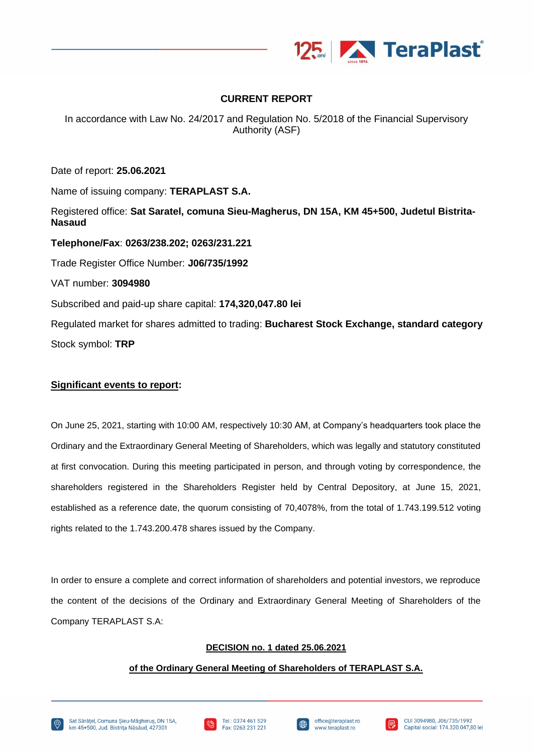

# **CURRENT REPORT**

In accordance with Law No. 24/2017 and Regulation No. 5/2018 of the Financial Supervisory Authority (ASF)

Date of report: **25.06.2021**

Name of issuing company: **TERAPLAST S.A.**

Registered office: **Sat Saratel, comuna Sieu-Magherus, DN 15A, KM 45+500, Judetul Bistrita-Nasaud**

**Telephone/Fax**: **0263/238.202; 0263/231.221** Trade Register Office Number: **J06/735/1992** VAT number: **3094980** Subscribed and paid-up share capital: **174,320,047.80 lei** Regulated market for shares admitted to trading: **Bucharest Stock Exchange, standard category** Stock symbol: **TRP**

# **Significant events to report:**

On June 25, 2021, starting with 10:00 AM, respectively 10:30 AM, at Company's headquarters took place the Ordinary and the Extraordinary General Meeting of Shareholders, which was legally and statutory constituted at first convocation. During this meeting participated in person, and through voting by correspondence, the shareholders registered in the Shareholders Register held by Central Depository, at June 15, 2021, established as a reference date, the quorum consisting of 70,4078%, from the total of 1.743.199.512 voting rights related to the 1.743.200.478 shares issued by the Company.

In order to ensure a complete and correct information of shareholders and potential investors, we reproduce the content of the decisions of the Ordinary and Extraordinary General Meeting of Shareholders of the Company TERAPLAST S.A:

# **DECISION no. 1 dated 25.06.2021**

#### **of the Ordinary General Meeting of Shareholders of TERAPLAST S.A.**







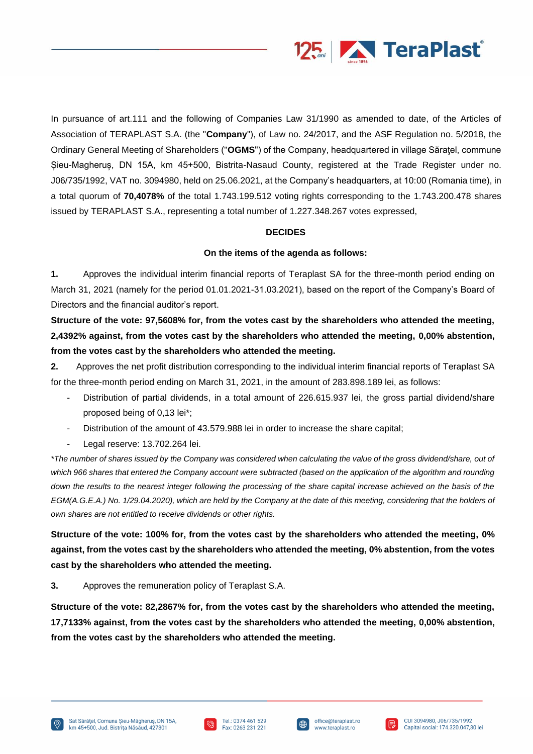

In pursuance of art.111 and the following of Companies Law 31/1990 as amended to date, of the Articles of Association of TERAPLAST S.A. (the "**Company**"), of Law no. 24/2017, and the ASF Regulation no. 5/2018, the Ordinary General Meeting of Shareholders ("**OGMS**") of the Company, headquartered in village Săraţel, commune Șieu-Magheruș, DN 15A, km 45+500, Bistrita-Nasaud County, registered at the Trade Register under no. J06/735/1992, VAT no. 3094980, held on 25.06.2021, at the Company's headquarters, at 10:00 (Romania time), in a total quorum of **70,4078%** of the total 1.743.199.512 voting rights corresponding to the 1.743.200.478 shares issued by TERAPLAST S.A., representing a total number of 1.227.348.267 votes expressed,

#### **DECIDES**

#### **On the items of the agenda as follows:**

**1.** Approves the individual interim financial reports of Teraplast SA for the three-month period ending on March 31, 2021 (namely for the period 01.01.2021-31.03.2021), based on the report of the Company's Board of Directors and the financial auditor's report.

**Structure of the vote: 97,5608% for, from the votes cast by the shareholders who attended the meeting, 2,4392% against, from the votes cast by the shareholders who attended the meeting, 0,00% abstention, from the votes cast by the shareholders who attended the meeting.**

**2.** Approves the net profit distribution corresponding to the individual interim financial reports of Teraplast SA for the three-month period ending on March 31, 2021, in the amount of 283.898.189 lei, as follows:

- Distribution of partial dividends, in a total amount of 226.615.937 lei, the gross partial dividend/share proposed being of 0,13 lei\*;
- Distribution of the amount of 43.579.988 lei in order to increase the share capital;
- Legal reserve: 13.702.264 lei.

*\*The number of shares issued by the Company was considered when calculating the value of the gross dividend/share, out of*  which 966 shares that entered the Company account were subtracted (based on the application of the algorithm and rounding *down the results to the nearest integer following the processing of the share capital increase achieved on the basis of the EGM(A.G.E.A.) No. 1/29.04.2020), which are held by the Company at the date of this meeting, considering that the holders of own shares are not entitled to receive dividends or other rights.*

**Structure of the vote: 100% for, from the votes cast by the shareholders who attended the meeting, 0% against, from the votes cast by the shareholders who attended the meeting, 0% abstention, from the votes cast by the shareholders who attended the meeting.**

**3.** Approves the remuneration policy of Teraplast S.A.

**Structure of the vote: 82,2867% for, from the votes cast by the shareholders who attended the meeting, 17,7133% against, from the votes cast by the shareholders who attended the meeting, 0,00% abstention, from the votes cast by the shareholders who attended the meeting.**





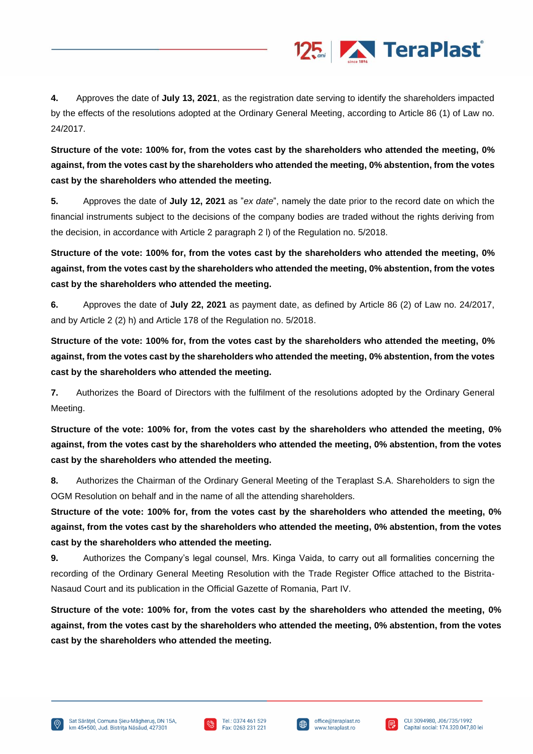

**4.** Approves the date of **July 13, 2021**, as the registration date serving to identify the shareholders impacted by the effects of the resolutions adopted at the Ordinary General Meeting, according to Article 86 (1) of Law no. 24/2017.

**Structure of the vote: 100% for, from the votes cast by the shareholders who attended the meeting, 0% against, from the votes cast by the shareholders who attended the meeting, 0% abstention, from the votes cast by the shareholders who attended the meeting.**

**5.** Approves the date of **July 12, 2021** as "*ex date*", namely the date prior to the record date on which the financial instruments subject to the decisions of the company bodies are traded without the rights deriving from the decision, in accordance with Article 2 paragraph 2 l) of the Regulation no. 5/2018.

**Structure of the vote: 100% for, from the votes cast by the shareholders who attended the meeting, 0% against, from the votes cast by the shareholders who attended the meeting, 0% abstention, from the votes cast by the shareholders who attended the meeting.**

**6.** Approves the date of **July 22, 2021** as payment date, as defined by Article 86 (2) of Law no. 24/2017, and by Article 2 (2) h) and Article 178 of the Regulation no. 5/2018.

**Structure of the vote: 100% for, from the votes cast by the shareholders who attended the meeting, 0% against, from the votes cast by the shareholders who attended the meeting, 0% abstention, from the votes cast by the shareholders who attended the meeting.**

**7.** Authorizes the Board of Directors with the fulfilment of the resolutions adopted by the Ordinary General Meeting.

**Structure of the vote: 100% for, from the votes cast by the shareholders who attended the meeting, 0% against, from the votes cast by the shareholders who attended the meeting, 0% abstention, from the votes cast by the shareholders who attended the meeting.**

**8.** Authorizes the Chairman of the Ordinary General Meeting of the Teraplast S.A. Shareholders to sign the OGM Resolution on behalf and in the name of all the attending shareholders.

**Structure of the vote: 100% for, from the votes cast by the shareholders who attended the meeting, 0% against, from the votes cast by the shareholders who attended the meeting, 0% abstention, from the votes cast by the shareholders who attended the meeting.**

**9.** Authorizes the Company's legal counsel, Mrs. Kinga Vaida, to carry out all formalities concerning the recording of the Ordinary General Meeting Resolution with the Trade Register Office attached to the Bistrita-Nasaud Court and its publication in the Official Gazette of Romania, Part IV.

**Structure of the vote: 100% for, from the votes cast by the shareholders who attended the meeting, 0% against, from the votes cast by the shareholders who attended the meeting, 0% abstention, from the votes cast by the shareholders who attended the meeting.**





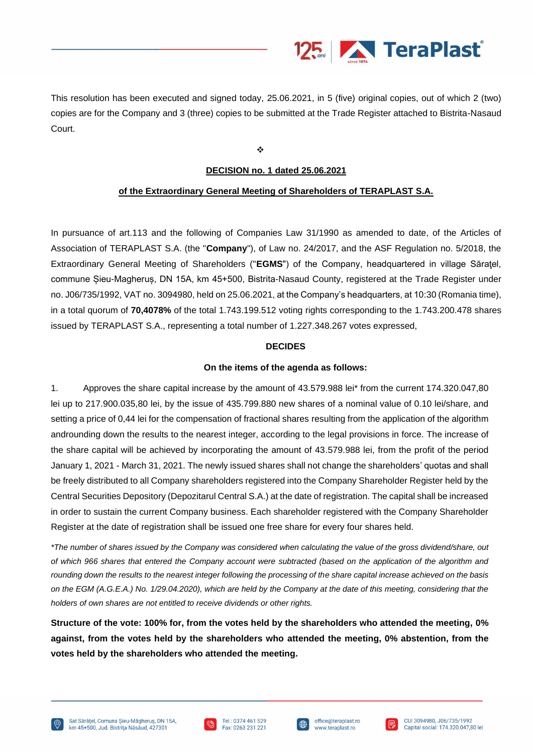

This resolution has been executed and signed today, 25.06.2021, in 5 (five) original copies, out of which 2 (two) copies are for the Company and 3 (three) copies to be submitted at the Trade Register attached to Bistrita-Nasaud Court.

❖

### **DECISION no. 1 dated 25.06.2021**

### **of the Extraordinary General Meeting of Shareholders of TERAPLAST S.A.**

In pursuance of art.113 and the following of Companies Law 31/1990 as amended to date, of the Articles of Association of TERAPLAST S.A. (the "**Company**"), of Law no. 24/2017, and the ASF Regulation no. 5/2018, the Extraordinary General Meeting of Shareholders ("**EGMS**") of the Company, headquartered in village Săraţel, commune Șieu-Magheruș, DN 15A, km 45+500, Bistrita-Nasaud County, registered at the Trade Register under no. J06/735/1992, VAT no. 3094980, held on 25.06.2021, at the Company's headquarters, at 10:30 (Romania time), in a total quorum of **70,4078%** of the total 1.743.199.512 voting rights corresponding to the 1.743.200.478 shares issued by TERAPLAST S.A., representing a total number of 1.227.348.267 votes expressed,

#### **DECIDES**

#### **On the items of the agenda as follows:**

1. Approves the share capital increase by the amount of 43.579.988 lei\* from the current 174.320.047,80 lei up to 217.900.035,80 lei, by the issue of 435.799.880 new shares of a nominal value of 0.10 lei/share, and setting a price of 0,44 lei for the compensation of fractional shares resulting from the application of the algorithm androunding down the results to the nearest integer, according to the legal provisions in force. The increase of the share capital will be achieved by incorporating the amount of 43.579.988 lei, from the profit of the period January 1, 2021 - March 31, 2021. The newly issued shares shall not change the shareholders' quotas and shall be freely distributed to all Company shareholders registered into the Company Shareholder Register held by the Central Securities Depository (Depozitarul Central S.A.) at the date of registration. The capital shall be increased in order to sustain the current Company business. Each shareholder registered with the Company Shareholder Register at the date of registration shall be issued one free share for every four shares held.

*\*The number of shares issued by the Company was considered when calculating the value of the gross dividend/share, out of which 966 shares that entered the Company account were subtracted (based on the application of the algorithm and rounding down the results to the nearest integer following the processing of the share capital increase achieved on the basis on the EGM (A.G.E.A.) No. 1/29.04.2020), which are held by the Company at the date of this meeting, considering that the holders of own shares are not entitled to receive dividends or other rights.*

**Structure of the vote: 100% for, from the votes held by the shareholders who attended the meeting, 0% against, from the votes held by the shareholders who attended the meeting, 0% abstention, from the votes held by the shareholders who attended the meeting.**





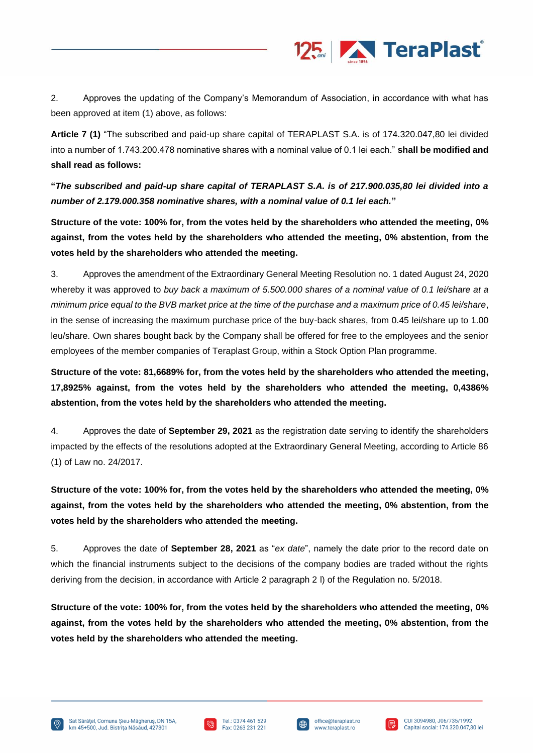

2. Approves the updating of the Company's Memorandum of Association, in accordance with what has been approved at item (1) above, as follows:

**Article 7 (1)** "The subscribed and paid-up share capital of TERAPLAST S.A. is of 174.320.047,80 lei divided into a number of 1.743.200.478 nominative shares with a nominal value of 0.1 lei each." **shall be modified and shall read as follows:**

**"***The subscribed and paid-up share capital of TERAPLAST S.A. is of 217.900.035,80 lei divided into a number of 2.179.000.358 nominative shares, with a nominal value of 0.1 lei each.***"**

**Structure of the vote: 100% for, from the votes held by the shareholders who attended the meeting, 0% against, from the votes held by the shareholders who attended the meeting, 0% abstention, from the votes held by the shareholders who attended the meeting.**

3. Approves the amendment of the Extraordinary General Meeting Resolution no. 1 dated August 24, 2020 whereby it was approved to *buy back a maximum of 5.500.000 shares of a nominal value of 0.1 lei/share at a minimum price equal to the BVB market price at the time of the purchase and a maximum price of 0.45 lei/share*, in the sense of increasing the maximum purchase price of the buy-back shares, from 0.45 lei/share up to 1.00 leu/share. Own shares bought back by the Company shall be offered for free to the employees and the senior employees of the member companies of Teraplast Group, within a Stock Option Plan programme.

**Structure of the vote: 81,6689% for, from the votes held by the shareholders who attended the meeting, 17,8925% against, from the votes held by the shareholders who attended the meeting, 0,4386% abstention, from the votes held by the shareholders who attended the meeting.**

4. Approves the date of **September 29, 2021** as the registration date serving to identify the shareholders impacted by the effects of the resolutions adopted at the Extraordinary General Meeting, according to Article 86 (1) of Law no. 24/2017.

**Structure of the vote: 100% for, from the votes held by the shareholders who attended the meeting, 0% against, from the votes held by the shareholders who attended the meeting, 0% abstention, from the votes held by the shareholders who attended the meeting.**

5. Approves the date of **September 28, 2021** as "*ex date*", namely the date prior to the record date on which the financial instruments subject to the decisions of the company bodies are traded without the rights deriving from the decision, in accordance with Article 2 paragraph 2 l) of the Regulation no. 5/2018.

**Structure of the vote: 100% for, from the votes held by the shareholders who attended the meeting, 0% against, from the votes held by the shareholders who attended the meeting, 0% abstention, from the votes held by the shareholders who attended the meeting.**